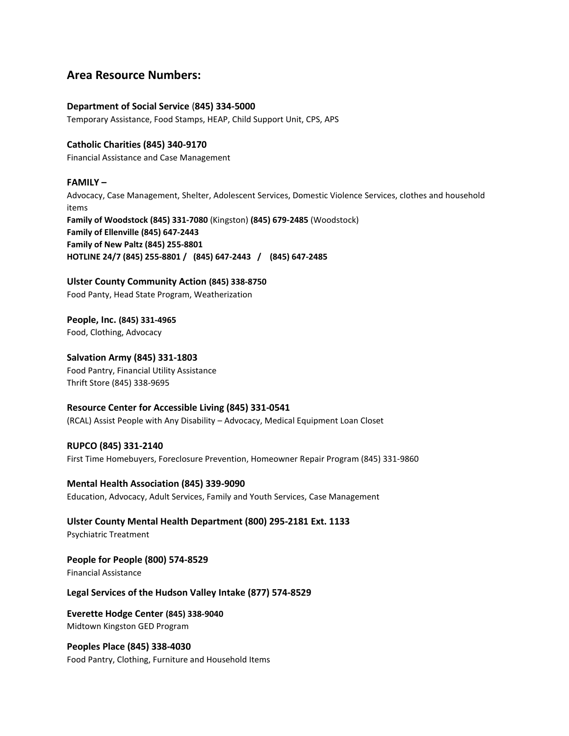## **Area Resource Numbers:**

#### **Department of Social Service** (**845) 334-5000**

Temporary Assistance, Food Stamps, HEAP, Child Support Unit, CPS, APS

#### **Catholic Charities (845) 340-9170**

Financial Assistance and Case Management

#### **FAMILY –**

Advocacy, Case Management, Shelter, Adolescent Services, Domestic Violence Services, clothes and household items **Family of Woodstock (845) 331-7080** (Kingston) **(845) 679-2485** (Woodstock) **Family of Ellenville (845) 647-2443 Family of New Paltz (845) 255-8801 HOTLINE 24/7 (845) 255-8801 / (845) 647-2443 / (845) 647-2485**

#### **Ulster County Community Action (845) 338-8750**

Food Panty, Head State Program, Weatherization

#### **People, Inc. (845) 331-4965** Food, Clothing, Advocacy

#### **Salvation Army (845) 331-1803**

Food Pantry, Financial Utility Assistance Thrift Store (845) 338-9695

#### **Resource Center for Accessible Living (845) 331-0541**

(RCAL) Assist People with Any Disability – Advocacy, Medical Equipment Loan Closet

#### **RUPCO (845) 331-2140**

First Time Homebuyers, Foreclosure Prevention, Homeowner Repair Program (845) 331-9860

#### **Mental Health Association (845) 339-9090**

Education, Advocacy, Adult Services, Family and Youth Services, Case Management

# **Ulster County Mental Health Department (800) 295-2181 Ext. 1133**

Psychiatric Treatment

#### **People for People (800) 574-8529** Financial Assistance

#### **Legal Services of the Hudson Valley Intake (877) 574-8529**

# **Everette Hodge Center (845) 338-9040**

Midtown Kingston GED Program

### **Peoples Place (845) 338-4030**

Food Pantry, Clothing, Furniture and Household Items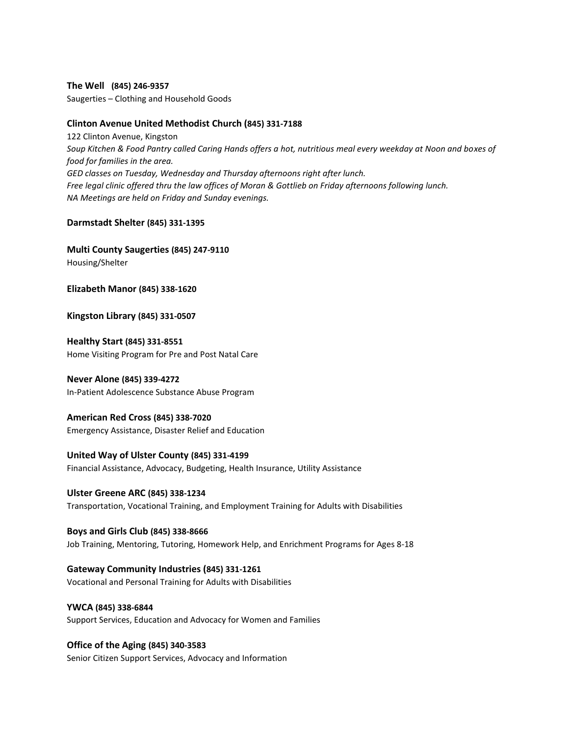**The Well (845) 246-9357**

Saugerties – Clothing and Household Goods

#### **Clinton Avenue United Methodist Church (845) 331-7188**

122 Clinton Avenue, Kingston *Soup Kitchen & Food Pantry called Caring Hands offers a hot, nutritious meal every weekday at Noon and boxes of food for families in the area. GED classes on Tuesday, Wednesday and Thursday afternoons right after lunch. Free legal clinic offered thru the law offices of Moran & Gottlieb on Friday afternoons following lunch. NA Meetings are held on Friday and Sunday evenings.*

#### **Darmstadt Shelter (845) 331-1395**

**Multi County Saugerties (845) 247-9110** Housing/Shelter

**Elizabeth Manor (845) 338-1620**

**Kingston Library (845) 331-0507**

**Healthy Start (845) 331-8551** Home Visiting Program for Pre and Post Natal Care

#### **Never Alone (845) 339-4272**

In-Patient Adolescence Substance Abuse Program

**American Red Cross (845) 338-7020** Emergency Assistance, Disaster Relief and Education

#### **United Way of Ulster County (845) 331-4199**

Financial Assistance, Advocacy, Budgeting, Health Insurance, Utility Assistance

**Ulster Greene ARC (845) 338-1234** Transportation, Vocational Training, and Employment Training for Adults with Disabilities

**Boys and Girls Club (845) 338-8666** Job Training, Mentoring, Tutoring, Homework Help, and Enrichment Programs for Ages 8-18

**Gateway Community Industries (845) 331-1261** Vocational and Personal Training for Adults with Disabilities

**YWCA (845) 338-6844** Support Services, Education and Advocacy for Women and Families

**Office of the Aging (845) 340-3583**

Senior Citizen Support Services, Advocacy and Information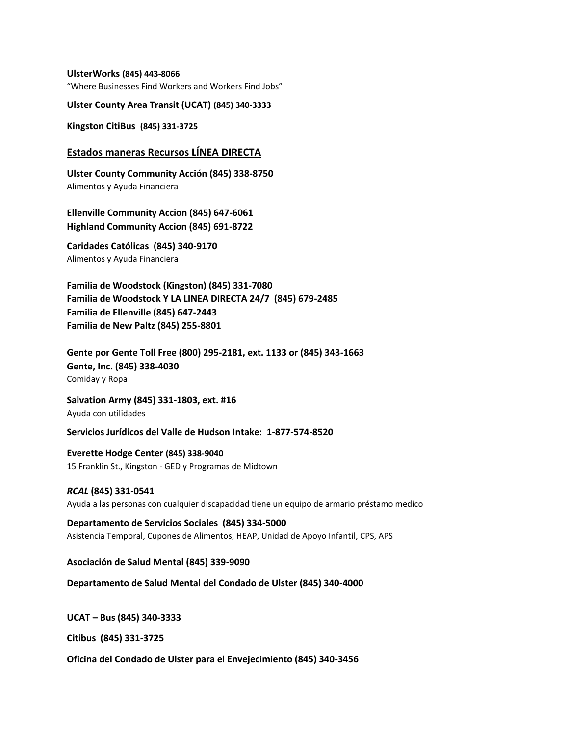**UlsterWorks (845) 443-8066** "Where Businesses Find Workers and Workers Find Jobs"

**Ulster County Area Transit (UCAT) (845) 340-3333**

**Kingston CitiBus (845) 331-3725**

#### **Estados maneras Recursos LÍNEA DIRECTA**

**Ulster County Community Acción (845) 338-8750** Alimentos y Ayuda Financiera

**Ellenville Community Accion (845) 647-6061 Highland Community Accion (845) 691-8722**

**Caridades Católicas (845) 340-9170** Alimentos y Ayuda Financiera

**Familia de Woodstock (Kingston) (845) 331-7080 Familia de Woodstock Y LA LINEA DIRECTA 24/7 (845) 679-2485 Familia de Ellenville (845) 647-2443 Familia de New Paltz (845) 255-8801**

**Gente por Gente Toll Free (800) 295-2181, ext. 1133 or (845) 343-1663 Gente, Inc. (845) 338-4030** Comiday y Ropa

**Salvation Army (845) 331-1803, ext. #16** Ayuda con utilidades

**Servicios Jurídicos del Valle de Hudson Intake: 1-877-574-8520**

**Everette Hodge Center (845) 338-9040** 15 Franklin St., Kingston - GED y Programas de Midtown

*RCAL* **(845) 331-0541** Ayuda a las personas con cualquier discapacidad tiene un equipo de armario préstamo medico

**Departamento de Servicios Sociales (845) 334-5000** Asistencia Temporal, Cupones de Alimentos, HEAP, Unidad de Apoyo Infantil, CPS, APS

**Asociación de Salud Mental (845) 339-9090**

**Departamento de Salud Mental del Condado de Ulster (845) 340-4000**

**UCAT – Bus (845) 340-3333**

**Citibus (845) 331-3725**

**Oficina del Condado de Ulster para el Envejecimiento (845) 340-3456**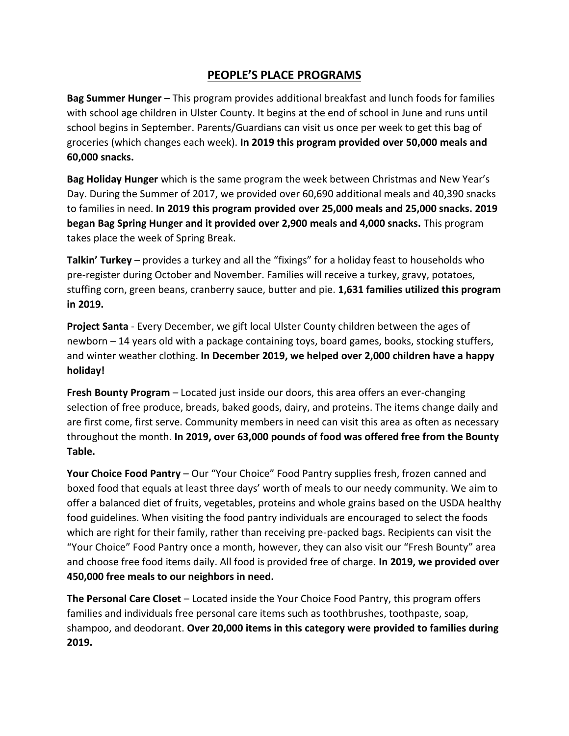# **PEOPLE'S PLACE PROGRAMS**

**Bag Summer Hunger** – This program provides additional breakfast and lunch foods for families with school age children in Ulster County. It begins at the end of school in June and runs until school begins in September. Parents/Guardians can visit us once per week to get this bag of groceries (which changes each week). **In 2019 this program provided over 50,000 meals and 60,000 snacks.**

**Bag Holiday Hunger** which is the same program the week between Christmas and New Year's Day. During the Summer of 2017, we provided over 60,690 additional meals and 40,390 snacks to families in need. **In 2019 this program provided over 25,000 meals and 25,000 snacks. 2019 began Bag Spring Hunger and it provided over 2,900 meals and 4,000 snacks.** This program takes place the week of Spring Break.

**Talkin' Turkey** – provides a turkey and all the "fixings" for a holiday feast to households who pre-register during October and November. Families will receive a turkey, gravy, potatoes, stuffing corn, green beans, cranberry sauce, butter and pie. **1,631 families utilized this program in 2019.**

**Project Santa** - Every December, we gift local Ulster County children between the ages of newborn – 14 years old with a package containing toys, board games, books, stocking stuffers, and winter weather clothing. **In December 2019, we helped over 2,000 children have a happy holiday!**

**Fresh Bounty Program** – Located just inside our doors, this area offers an ever-changing selection of free produce, breads, baked goods, dairy, and proteins. The items change daily and are first come, first serve. Community members in need can visit this area as often as necessary throughout the month. **In 2019, over 63,000 pounds of food was offered free from the Bounty Table.**

**Your Choice Food Pantry** – Our "Your Choice" Food Pantry supplies fresh, frozen canned and boxed food that equals at least three days' worth of meals to our needy community. We aim to offer a balanced diet of fruits, vegetables, proteins and whole grains based on the USDA healthy food guidelines. When visiting the food pantry individuals are encouraged to select the foods which are right for their family, rather than receiving pre-packed bags. Recipients can visit the "Your Choice" Food Pantry once a month, however, they can also visit our "Fresh Bounty" area and choose free food items daily. All food is provided free of charge. **In 2019, we provided over 450,000 free meals to our neighbors in need.** 

**The Personal Care Closet** – Located inside the Your Choice Food Pantry, this program offers families and individuals free personal care items such as toothbrushes, toothpaste, soap, shampoo, and deodorant. **Over 20,000 items in this category were provided to families during 2019.**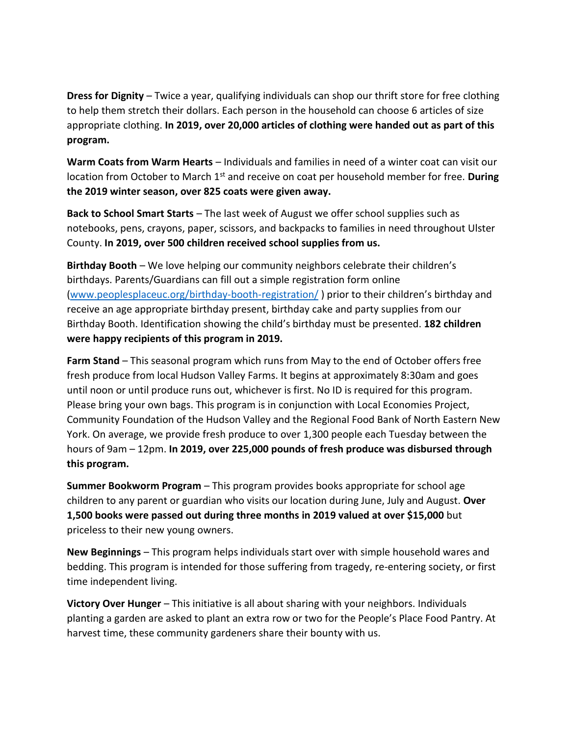**Dress for Dignity** – Twice a year, qualifying individuals can shop our thrift store for free clothing to help them stretch their dollars. Each person in the household can choose 6 articles of size appropriate clothing. **In 2019, over 20,000 articles of clothing were handed out as part of this program.**

**Warm Coats from Warm Hearts** – Individuals and families in need of a winter coat can visit our location from October to March 1<sup>st</sup> and receive on coat per household member for free. **During the 2019 winter season, over 825 coats were given away.**

**Back to School Smart Starts** – The last week of August we offer school supplies such as notebooks, pens, crayons, paper, scissors, and backpacks to families in need throughout Ulster County. **In 2019, over 500 children received school supplies from us.**

**Birthday Booth** – We love helping our community neighbors celebrate their children's birthdays. Parents/Guardians can fill out a simple registration form online [\(www.peoplesplaceuc.org/birthday-booth-registration/](http://www.peoplesplaceuc.org/birthday-booth-registration/) ) prior to their children's birthday and receive an age appropriate birthday present, birthday cake and party supplies from our Birthday Booth. Identification showing the child's birthday must be presented. **182 children were happy recipients of this program in 2019.**

**Farm Stand** – This seasonal program which runs from May to the end of October offers free fresh produce from local Hudson Valley Farms. It begins at approximately 8:30am and goes until noon or until produce runs out, whichever is first. No ID is required for this program. Please bring your own bags. This program is in conjunction with Local Economies Project, Community Foundation of the Hudson Valley and the Regional Food Bank of North Eastern New York. On average, we provide fresh produce to over 1,300 people each Tuesday between the hours of 9am – 12pm. **In 2019, over 225,000 pounds of fresh produce was disbursed through this program.**

**Summer Bookworm Program** – This program provides books appropriate for school age children to any parent or guardian who visits our location during June, July and August. **Over 1,500 books were passed out during three months in 2019 valued at over \$15,000** but priceless to their new young owners.

**New Beginnings** – This program helps individuals start over with simple household wares and bedding. This program is intended for those suffering from tragedy, re-entering society, or first time independent living.

**Victory Over Hunger** – This initiative is all about sharing with your neighbors. Individuals planting a garden are asked to plant an extra row or two for the People's Place Food Pantry. At harvest time, these community gardeners share their bounty with us.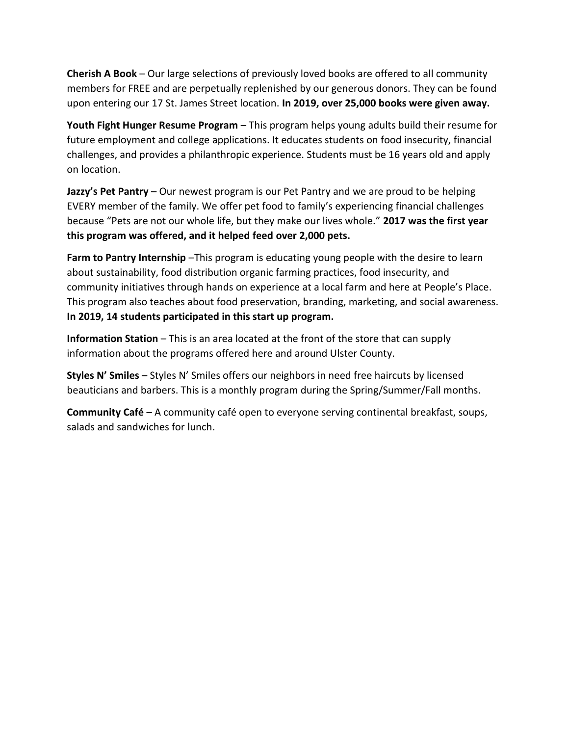**Cherish A Book** – Our large selections of previously loved books are offered to all community members for FREE and are perpetually replenished by our generous donors. They can be found upon entering our 17 St. James Street location. **In 2019, over 25,000 books were given away.**

**Youth Fight Hunger Resume Program** – This program helps young adults build their resume for future employment and college applications. It educates students on food insecurity, financial challenges, and provides a philanthropic experience. Students must be 16 years old and apply on location.

**Jazzy's Pet Pantry** – Our newest program is our Pet Pantry and we are proud to be helping EVERY member of the family. We offer pet food to family's experiencing financial challenges because "Pets are not our whole life, but they make our lives whole." **2017 was the first year this program was offered, and it helped feed over 2,000 pets.**

**Farm to Pantry Internship** –This program is educating young people with the desire to learn about sustainability, food distribution organic farming practices, food insecurity, and community initiatives through hands on experience at a local farm and here at People's Place. This program also teaches about food preservation, branding, marketing, and social awareness. **In 2019, 14 students participated in this start up program.**

**Information Station** – This is an area located at the front of the store that can supply information about the programs offered here and around Ulster County.

**Styles N' Smiles** – Styles N' Smiles offers our neighbors in need free haircuts by licensed beauticians and barbers. This is a monthly program during the Spring/Summer/Fall months.

**Community Café** – A community café open to everyone serving continental breakfast, soups, salads and sandwiches for lunch.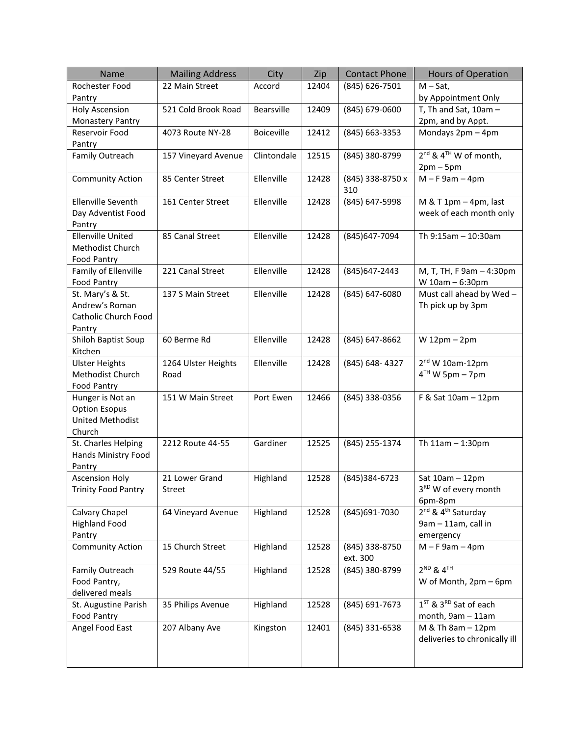| Name                                                               | <b>Mailing Address</b> | <b>City</b>       | Zip   | <b>Contact Phone</b>       | <b>Hours of Operation</b>                    |
|--------------------------------------------------------------------|------------------------|-------------------|-------|----------------------------|----------------------------------------------|
| Rochester Food                                                     | 22 Main Street         | Accord            | 12404 | (845) 626-7501             | $M - Sat$ ,                                  |
| Pantry                                                             |                        |                   |       |                            | by Appointment Only                          |
| <b>Holy Ascension</b>                                              | 521 Cold Brook Road    | Bearsville        | 12409 | (845) 679-0600             | T, Th and Sat, 10am -                        |
| <b>Monastery Pantry</b>                                            |                        |                   |       |                            | 2pm, and by Appt.                            |
| Reservoir Food<br>Pantry                                           | 4073 Route NY-28       | <b>Boiceville</b> | 12412 | (845) 663-3353             | Mondays 2pm - 4pm                            |
| Family Outreach                                                    | 157 Vineyard Avenue    | Clintondale       | 12515 | (845) 380-8799             | $2^{nd}$ & $4^{TH}$ W of month,<br>$2pm-5pm$ |
| <b>Community Action</b>                                            | 85 Center Street       | Ellenville        | 12428 | (845) 338-8750 x<br>310    | $M - F$ 9am $-$ 4pm                          |
| <b>Ellenville Seventh</b>                                          | 161 Center Street      | Ellenville        | 12428 | (845) 647-5998             | M & T 1pm $-$ 4pm, last                      |
| Day Adventist Food                                                 |                        |                   |       |                            | week of each month only                      |
| Pantry                                                             |                        |                   |       |                            |                                              |
| <b>Ellenville United</b><br>Methodist Church<br><b>Food Pantry</b> | 85 Canal Street        | Ellenville        | 12428 | (845) 647-7094             | Th 9:15am - 10:30am                          |
| Family of Ellenville                                               | 221 Canal Street       | Ellenville        | 12428 | (845) 647 - 2443           | M, T, TH, F 9am - 4:30pm                     |
| <b>Food Pantry</b>                                                 |                        |                   |       |                            | W 10am - 6:30pm                              |
| St. Mary's & St.                                                   | 137 S Main Street      | Ellenville        | 12428 | (845) 647-6080             | Must call ahead by Wed -                     |
| Andrew's Roman                                                     |                        |                   |       |                            | Th pick up by 3pm                            |
| Catholic Church Food                                               |                        |                   |       |                            |                                              |
| Pantry                                                             |                        |                   |       |                            |                                              |
| Shiloh Baptist Soup                                                | 60 Berme Rd            | Ellenville        | 12428 | (845) 647-8662             | $W 12pm - 2pm$                               |
| Kitchen                                                            |                        |                   |       |                            |                                              |
| <b>Ulster Heights</b>                                              | 1264 Ulster Heights    | Ellenville        | 12428 | (845) 648-4327             | $2nd W 10am-12pm$                            |
| Methodist Church                                                   | Road                   |                   |       |                            | $4TH$ W 5pm - 7pm                            |
| <b>Food Pantry</b>                                                 |                        |                   |       |                            |                                              |
| Hunger is Not an                                                   | 151 W Main Street      | Port Ewen         | 12466 | (845) 338-0356             | F & Sat 10am - 12pm                          |
| <b>Option Esopus</b><br><b>United Methodist</b>                    |                        |                   |       |                            |                                              |
| Church                                                             |                        |                   |       |                            |                                              |
| St. Charles Helping                                                | 2212 Route 44-55       | Gardiner          | 12525 | (845) 255-1374             | Th 11am - 1:30pm                             |
| Hands Ministry Food                                                |                        |                   |       |                            |                                              |
| Pantry                                                             |                        |                   |       |                            |                                              |
| <b>Ascension Holy</b>                                              | 21 Lower Grand         | Highland          | 12528 | (845)384-6723              | Sat 10am - 12pm                              |
| <b>Trinity Food Pantry</b>                                         | Street                 |                   |       |                            | 3RD W of every month                         |
|                                                                    |                        |                   |       |                            | 6pm-8pm                                      |
| Calvary Chapel                                                     | 64 Vineyard Avenue     | Highland          | 12528 | (845) 691-7030             | 2 <sup>nd</sup> & 4 <sup>th</sup> Saturday   |
| <b>Highland Food</b>                                               |                        |                   |       |                            | 9am - 11am, call in                          |
| Pantry                                                             |                        |                   |       |                            | emergency                                    |
| <b>Community Action</b>                                            | 15 Church Street       | Highland          | 12528 | (845) 338-8750<br>ext. 300 | $M - F$ 9am $-$ 4pm                          |
| Family Outreach                                                    | 529 Route 44/55        | Highland          | 12528 | (845) 380-8799             | $2^{ND}$ & $4TH$                             |
| Food Pantry,                                                       |                        |                   |       |                            | W of Month, 2pm - 6pm                        |
| delivered meals                                                    |                        |                   |       |                            |                                              |
| St. Augustine Parish                                               | 35 Philips Avenue      | Highland          | 12528 | (845) 691-7673             | $1ST$ & $3RD$ Sat of each                    |
| Food Pantry                                                        |                        |                   |       |                            | month, 9am - 11am                            |
| Angel Food East                                                    | 207 Albany Ave         | Kingston          | 12401 | (845) 331-6538             | M & Th 8am - 12pm                            |
|                                                                    |                        |                   |       |                            | deliveries to chronically ill                |
|                                                                    |                        |                   |       |                            |                                              |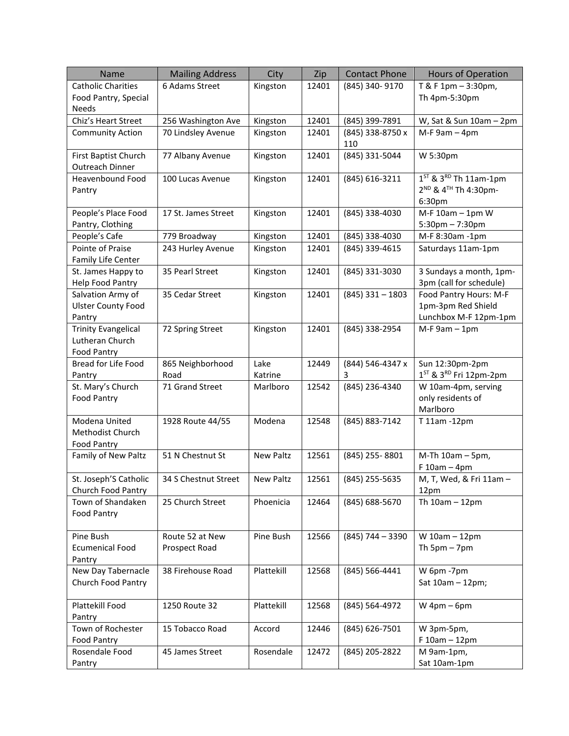| Name                                    | <b>Mailing Address</b> | City       | Zip   | <b>Contact Phone</b> | <b>Hours of Operation</b>                    |
|-----------------------------------------|------------------------|------------|-------|----------------------|----------------------------------------------|
| <b>Catholic Charities</b>               | 6 Adams Street         | Kingston   | 12401 | (845) 340-9170       | T & F 1pm - 3:30pm,                          |
| Food Pantry, Special                    |                        |            |       |                      | Th 4pm-5:30pm                                |
| <b>Needs</b>                            |                        |            |       |                      |                                              |
| Chiz's Heart Street                     | 256 Washington Ave     | Kingston   | 12401 | (845) 399-7891       | W, Sat & Sun 10am - 2pm                      |
| <b>Community Action</b>                 | 70 Lindsley Avenue     | Kingston   | 12401 | (845) 338-8750 x     | $M-F$ 9am $-$ 4pm                            |
|                                         |                        |            |       | 110                  |                                              |
| First Baptist Church                    | 77 Albany Avenue       | Kingston   | 12401 | (845) 331-5044       | W 5:30pm                                     |
| <b>Outreach Dinner</b>                  |                        |            |       |                      |                                              |
| Heavenbound Food                        | 100 Lucas Avenue       | Kingston   | 12401 | (845) 616-3211       | $1^{ST}$ & $3^{RD}$ Th $11$ am-1pm           |
| Pantry                                  |                        |            |       |                      | 2 <sup>ND</sup> & 4 <sup>TH</sup> Th 4:30pm- |
|                                         |                        |            |       |                      | 6:30pm<br>$M-F 10am - 1pm W$                 |
| People's Place Food<br>Pantry, Clothing | 17 St. James Street    | Kingston   | 12401 | (845) 338-4030       | $5:30$ pm $-7:30$ pm                         |
| People's Cafe                           | 779 Broadway           | Kingston   | 12401 | (845) 338-4030       | M-F 8:30am -1pm                              |
| Pointe of Praise                        | 243 Hurley Avenue      | Kingston   | 12401 | (845) 339-4615       | Saturdays 11am-1pm                           |
| Family Life Center                      |                        |            |       |                      |                                              |
| St. James Happy to                      | 35 Pearl Street        | Kingston   | 12401 | (845) 331-3030       | 3 Sundays a month, 1pm-                      |
| Help Food Pantry                        |                        |            |       |                      | 3pm (call for schedule)                      |
| Salvation Army of                       | 35 Cedar Street        | Kingston   | 12401 | $(845)$ 331 - 1803   | Food Pantry Hours: M-F                       |
| <b>Ulster County Food</b>               |                        |            |       |                      | 1pm-3pm Red Shield                           |
| Pantry                                  |                        |            |       |                      | Lunchbox M-F 12pm-1pm                        |
| <b>Trinity Evangelical</b>              | 72 Spring Street       | Kingston   | 12401 | (845) 338-2954       | $M-F$ 9am $-1$ pm                            |
| Lutheran Church                         |                        |            |       |                      |                                              |
| <b>Food Pantry</b>                      |                        |            |       |                      |                                              |
| Bread for Life Food                     | 865 Neighborhood       | Lake       | 12449 | (844) 546-4347 x     | Sun 12:30pm-2pm                              |
| Pantry                                  | Road                   | Katrine    |       | 3                    | $1ST$ & $3RD$ Fri 12pm-2pm                   |
| St. Mary's Church                       | 71 Grand Street        | Marlboro   | 12542 | (845) 236-4340       | W 10am-4pm, serving                          |
| Food Pantry                             |                        |            |       |                      | only residents of                            |
|                                         |                        |            |       |                      | Marlboro                                     |
| Modena United                           | 1928 Route 44/55       | Modena     | 12548 | (845) 883-7142       | T 11am -12pm                                 |
| Methodist Church                        |                        |            |       |                      |                                              |
| <b>Food Pantry</b>                      |                        |            |       |                      |                                              |
| Family of New Paltz                     | 51 N Chestnut St       | New Paltz  | 12561 | (845) 255-8801       | M-Th 10am - 5pm,                             |
|                                         |                        |            |       |                      | $F$ 10am - 4pm                               |
| St. Joseph'S Catholic                   | 34 S Chestnut Street   | New Paltz  | 12561 | (845) 255-5635       | M, T, Wed, & Fri 11am -                      |
| Church Food Pantry                      |                        |            |       |                      | 12pm                                         |
| Town of Shandaken                       | 25 Church Street       | Phoenicia  | 12464 | (845) 688-5670       | Th $10am - 12pm$                             |
| Food Pantry                             |                        |            |       |                      |                                              |
| Pine Bush                               | Route 52 at New        | Pine Bush  | 12566 | $(845)$ 744 - 3390   | W 10am - 12pm                                |
| <b>Ecumenical Food</b>                  | Prospect Road          |            |       |                      | Th $5pm - 7pm$                               |
| Pantry                                  |                        |            |       |                      |                                              |
| New Day Tabernacle                      | 38 Firehouse Road      | Plattekill | 12568 | (845) 566-4441       | W 6pm -7pm                                   |
| Church Food Pantry                      |                        |            |       |                      | Sat 10am - 12pm;                             |
|                                         |                        |            |       |                      |                                              |
| Plattekill Food                         | 1250 Route 32          | Plattekill | 12568 | (845) 564-4972       | $W$ 4pm $-$ 6pm                              |
| Pantry                                  |                        |            |       |                      |                                              |
| Town of Rochester                       | 15 Tobacco Road        | Accord     | 12446 | (845) 626-7501       | W 3pm-5pm,                                   |
| Food Pantry                             |                        |            |       |                      | $F10am - 12pm$                               |
| Rosendale Food                          | 45 James Street        | Rosendale  | 12472 | (845) 205-2822       | M 9am-1pm,                                   |
| Pantry                                  |                        |            |       |                      | Sat 10am-1pm                                 |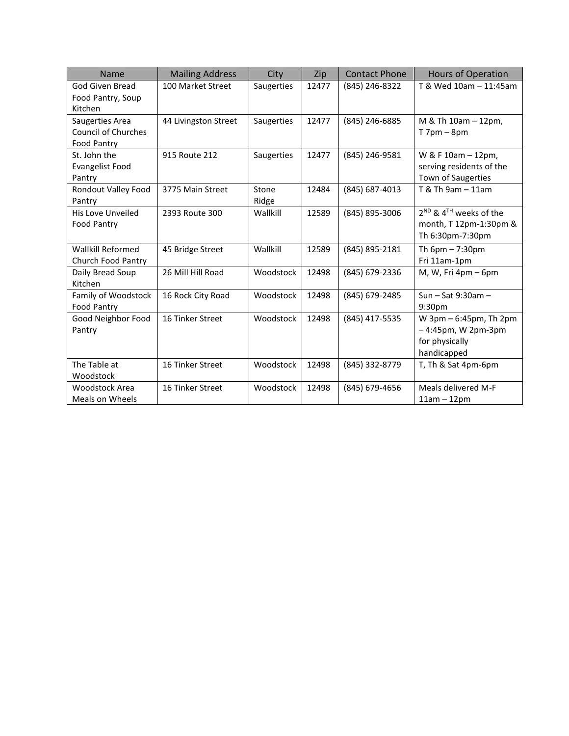| Name                       | <b>Mailing Address</b>  | City       | Zip   | <b>Contact Phone</b> | <b>Hours of Operation</b>                      |
|----------------------------|-------------------------|------------|-------|----------------------|------------------------------------------------|
| <b>God Given Bread</b>     | 100 Market Street       | Saugerties | 12477 | (845) 246-8322       | T & Wed 10am - 11:45am                         |
| Food Pantry, Soup          |                         |            |       |                      |                                                |
| Kitchen                    |                         |            |       |                      |                                                |
| Saugerties Area            | 44 Livingston Street    | Saugerties | 12477 | (845) 246-6885       | M & Th 10am - 12pm,                            |
| <b>Council of Churches</b> |                         |            |       |                      | $T 7pm - 8pm$                                  |
| <b>Food Pantry</b>         |                         |            |       |                      |                                                |
| St. John the               | 915 Route 212           | Saugerties | 12477 | (845) 246-9581       | W & F 10am - 12pm,                             |
| Evangelist Food            |                         |            |       |                      | serving residents of the                       |
| Pantry                     |                         |            |       |                      | Town of Saugerties                             |
| Rondout Valley Food        | 3775 Main Street        | Stone      | 12484 | (845) 687-4013       | T & Th 9am - 11am                              |
| Pantry                     |                         | Ridge      |       |                      |                                                |
| His Love Unveiled          | 2393 Route 300          | Wallkill   | 12589 | (845) 895-3006       | 2 <sup>ND</sup> & 4 <sup>TH</sup> weeks of the |
| Food Pantry                |                         |            |       |                      | month, T 12pm-1:30pm &                         |
|                            |                         |            |       |                      | Th 6:30pm-7:30pm                               |
| <b>Wallkill Reformed</b>   | 45 Bridge Street        | Wallkill   | 12589 | (845) 895-2181       | Th $6pm - 7:30pm$                              |
| Church Food Pantry         |                         |            |       |                      | Fri 11am-1pm                                   |
| Daily Bread Soup           | 26 Mill Hill Road       | Woodstock  | 12498 | (845) 679-2336       | M, W, Fri $4pm - 6pm$                          |
| Kitchen                    |                         |            |       |                      |                                                |
| Family of Woodstock        | 16 Rock City Road       | Woodstock  | 12498 | (845) 679-2485       | Sun $-$ Sat 9:30am $-$                         |
| <b>Food Pantry</b>         |                         |            |       |                      | 9:30pm                                         |
| Good Neighbor Food         | 16 Tinker Street        | Woodstock  | 12498 | (845) 417-5535       | W 3pm - 6:45pm, Th 2pm                         |
| Pantry                     |                         |            |       |                      | $-4:45$ pm, W 2pm-3pm                          |
|                            |                         |            |       |                      | for physically                                 |
|                            |                         |            |       |                      | handicapped                                    |
| The Table at               | 16 Tinker Street        | Woodstock  | 12498 | (845) 332-8779       | T, Th & Sat 4pm-6pm                            |
| Woodstock                  |                         |            |       |                      |                                                |
| <b>Woodstock Area</b>      | <b>16 Tinker Street</b> | Woodstock  | 12498 | (845) 679-4656       | Meals delivered M-F                            |
| Meals on Wheels            |                         |            |       |                      | $11am - 12pm$                                  |